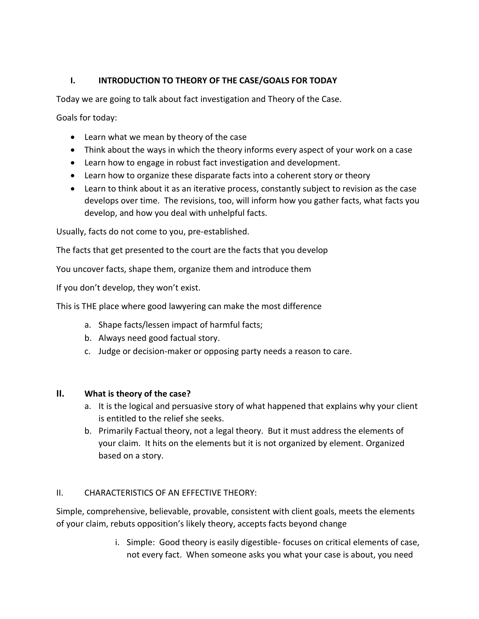# **I. INTRODUCTION TO THEORY OF THE CASE/GOALS FOR TODAY**

Today we are going to talk about fact investigation and Theory of the Case.

Goals for today:

- Learn what we mean by theory of the case
- Think about the ways in which the theory informs every aspect of your work on a case
- Learn how to engage in robust fact investigation and development.
- Learn how to organize these disparate facts into a coherent story or theory
- Learn to think about it as an iterative process, constantly subject to revision as the case develops over time. The revisions, too, will inform how you gather facts, what facts you develop, and how you deal with unhelpful facts.

Usually, facts do not come to you, pre-established.

The facts that get presented to the court are the facts that you develop

You uncover facts, shape them, organize them and introduce them

If you don't develop, they won't exist.

This is THE place where good lawyering can make the most difference

- a. Shape facts/lessen impact of harmful facts;
- b. Always need good factual story.
- c. Judge or decision-maker or opposing party needs a reason to care.

## **II. What is theory of the case?**

- a. It is the logical and persuasive story of what happened that explains why your client is entitled to the relief she seeks.
- b. Primarily Factual theory, not a legal theory. But it must address the elements of your claim. It hits on the elements but it is not organized by element. Organized based on a story.

## II. CHARACTERISTICS OF AN EFFECTIVE THEORY:

Simple, comprehensive, believable, provable, consistent with client goals, meets the elements of your claim, rebuts opposition's likely theory, accepts facts beyond change

> i. Simple: Good theory is easily digestible- focuses on critical elements of case, not every fact. When someone asks you what your case is about, you need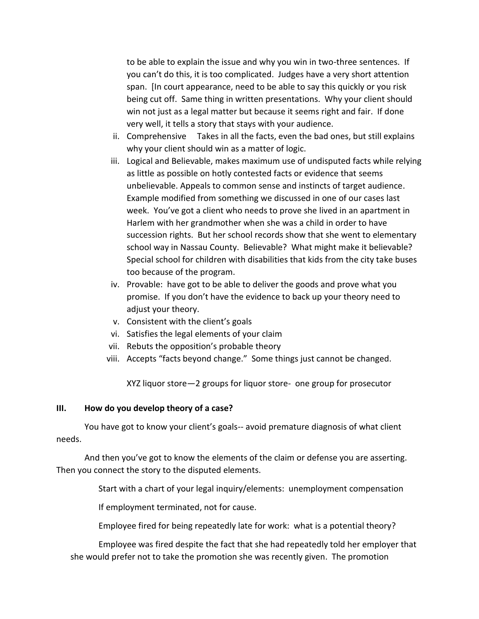to be able to explain the issue and why you win in two-three sentences. If you can't do this, it is too complicated. Judges have a very short attention span. [In court appearance, need to be able to say this quickly or you risk being cut off. Same thing in written presentations. Why your client should win not just as a legal matter but because it seems right and fair. If done very well, it tells a story that stays with your audience.

- ii. Comprehensive Takes in all the facts, even the bad ones, but still explains why your client should win as a matter of logic.
- iii. Logical and Believable, makes maximum use of undisputed facts while relying as little as possible on hotly contested facts or evidence that seems unbelievable. Appeals to common sense and instincts of target audience. Example modified from something we discussed in one of our cases last week. You've got a client who needs to prove she lived in an apartment in Harlem with her grandmother when she was a child in order to have succession rights. But her school records show that she went to elementary school way in Nassau County. Believable? What might make it believable? Special school for children with disabilities that kids from the city take buses too because of the program.
- iv. Provable: have got to be able to deliver the goods and prove what you promise. If you don't have the evidence to back up your theory need to adjust your theory.
- v. Consistent with the client's goals
- vi. Satisfies the legal elements of your claim
- vii. Rebuts the opposition's probable theory
- viii. Accepts "facts beyond change." Some things just cannot be changed.

XYZ liquor store—2 groups for liquor store- one group for prosecutor

#### **III. How do you develop theory of a case?**

You have got to know your client's goals-- avoid premature diagnosis of what client needs.

And then you've got to know the elements of the claim or defense you are asserting. Then you connect the story to the disputed elements.

Start with a chart of your legal inquiry/elements: unemployment compensation

If employment terminated, not for cause.

Employee fired for being repeatedly late for work: what is a potential theory?

Employee was fired despite the fact that she had repeatedly told her employer that she would prefer not to take the promotion she was recently given. The promotion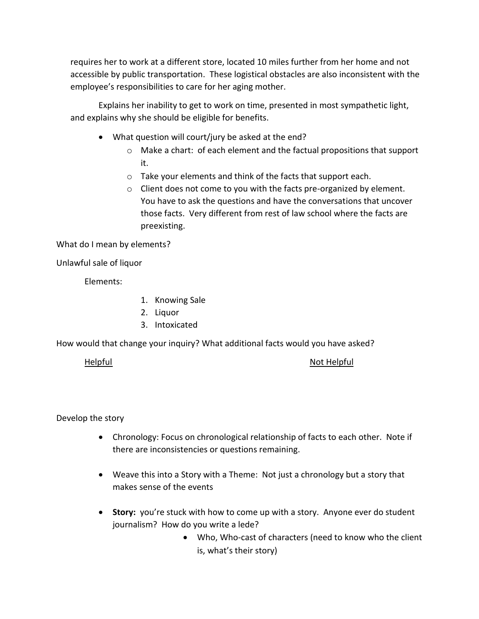requires her to work at a different store, located 10 miles further from her home and not accessible by public transportation. These logistical obstacles are also inconsistent with the employee's responsibilities to care for her aging mother.

Explains her inability to get to work on time, presented in most sympathetic light, and explains why she should be eligible for benefits.

- What question will court/jury be asked at the end?
	- o Make a chart: of each element and the factual propositions that support it.
	- o Take your elements and think of the facts that support each.
	- o Client does not come to you with the facts pre-organized by element. You have to ask the questions and have the conversations that uncover those facts. Very different from rest of law school where the facts are preexisting.

What do I mean by elements?

Unlawful sale of liquor

Elements:

- 1. Knowing Sale
- 2. Liquor
- 3. Intoxicated

How would that change your inquiry? What additional facts would you have asked?

Helpful Not Helpful Not Helpful Not Helpful

Develop the story

- Chronology: Focus on chronological relationship of facts to each other. Note if there are inconsistencies or questions remaining.
- Weave this into a Story with a Theme: Not just a chronology but a story that makes sense of the events
- **Story:** you're stuck with how to come up with a story. Anyone ever do student journalism? How do you write a lede?
	- Who, Who-cast of characters (need to know who the client is, what's their story)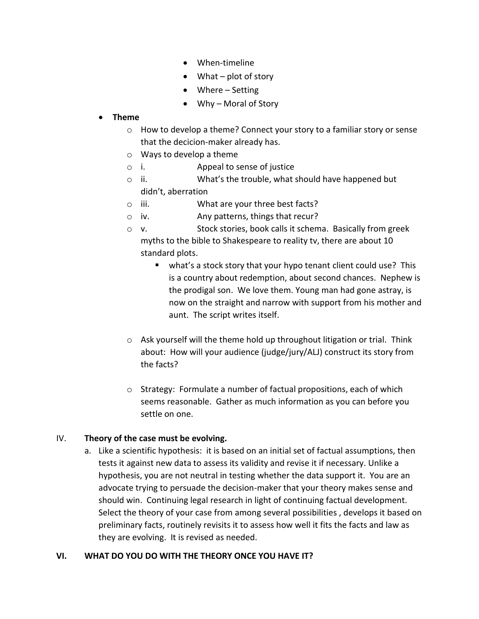- When-timeline
- What plot of story
- Where Setting
- Why Moral of Story

## **Theme**

- o How to develop a theme? Connect your story to a familiar story or sense that the decicion-maker already has.
- o Ways to develop a theme
- o i. Appeal to sense of justice
- o ii. What's the trouble, what should have happened but didn't, aberration
- o iii. What are your three best facts?
- o iv. Any patterns, things that recur?
- o v. Stock stories, book calls it schema. Basically from greek myths to the bible to Shakespeare to reality tv, there are about 10 standard plots.
	- what's a stock story that your hypo tenant client could use? This is a country about redemption, about second chances. Nephew is the prodigal son. We love them. Young man had gone astray, is now on the straight and narrow with support from his mother and aunt. The script writes itself.
- $\circ$  Ask yourself will the theme hold up throughout litigation or trial. Think about: How will your audience (judge/jury/ALJ) construct its story from the facts?
- o Strategy: Formulate a number of factual propositions, each of which seems reasonable. Gather as much information as you can before you settle on one.

# IV. **Theory of the case must be evolving.**

a. Like a scientific hypothesis: it is based on an initial set of factual assumptions, then tests it against new data to assess its validity and revise it if necessary. Unlike a hypothesis, you are not neutral in testing whether the data support it. You are an advocate trying to persuade the decision-maker that your theory makes sense and should win. Continuing legal research in light of continuing factual development. Select the theory of your case from among several possibilities , develops it based on preliminary facts, routinely revisits it to assess how well it fits the facts and law as they are evolving. It is revised as needed.

# **VI. WHAT DO YOU DO WITH THE THEORY ONCE YOU HAVE IT?**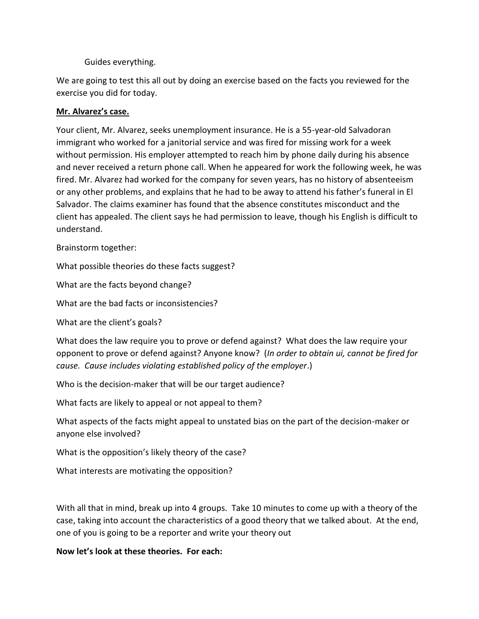### Guides everything.

We are going to test this all out by doing an exercise based on the facts you reviewed for the exercise you did for today.

### **Mr. Alvarez's case.**

Your client, Mr. Alvarez, seeks unemployment insurance. He is a 55-year-old Salvadoran immigrant who worked for a janitorial service and was fired for missing work for a week without permission. His employer attempted to reach him by phone daily during his absence and never received a return phone call. When he appeared for work the following week, he was fired. Mr. Alvarez had worked for the company for seven years, has no history of absenteeism or any other problems, and explains that he had to be away to attend his father's funeral in El Salvador. The claims examiner has found that the absence constitutes misconduct and the client has appealed. The client says he had permission to leave, though his English is difficult to understand.

Brainstorm together:

What possible theories do these facts suggest?

What are the facts beyond change?

What are the bad facts or inconsistencies?

What are the client's goals?

What does the law require you to prove or defend against? What does the law require your opponent to prove or defend against? Anyone know? (*In order to obtain ui, cannot be fired for cause. Cause includes violating established policy of the employer*.)

Who is the decision-maker that will be our target audience?

What facts are likely to appeal or not appeal to them?

What aspects of the facts might appeal to unstated bias on the part of the decision-maker or anyone else involved?

What is the opposition's likely theory of the case?

What interests are motivating the opposition?

With all that in mind, break up into 4 groups. Take 10 minutes to come up with a theory of the case, taking into account the characteristics of a good theory that we talked about. At the end, one of you is going to be a reporter and write your theory out

## **Now let's look at these theories. For each:**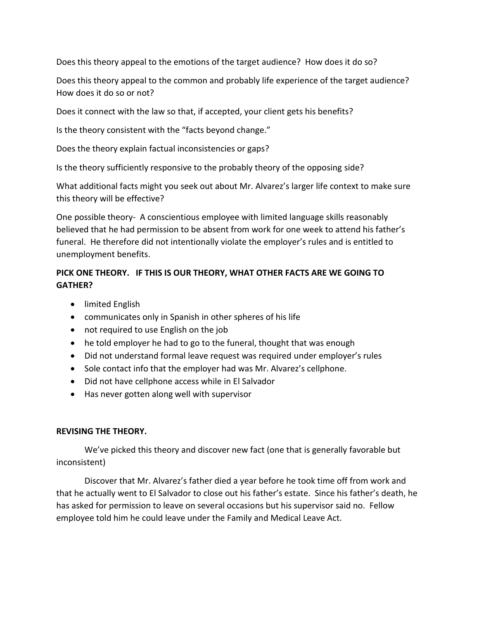Does this theory appeal to the emotions of the target audience? How does it do so?

Does this theory appeal to the common and probably life experience of the target audience? How does it do so or not?

Does it connect with the law so that, if accepted, your client gets his benefits?

Is the theory consistent with the "facts beyond change."

Does the theory explain factual inconsistencies or gaps?

Is the theory sufficiently responsive to the probably theory of the opposing side?

What additional facts might you seek out about Mr. Alvarez's larger life context to make sure this theory will be effective?

One possible theory- A conscientious employee with limited language skills reasonably believed that he had permission to be absent from work for one week to attend his father's funeral. He therefore did not intentionally violate the employer's rules and is entitled to unemployment benefits.

# **PICK ONE THEORY. IF THIS IS OUR THEORY, WHAT OTHER FACTS ARE WE GOING TO GATHER?**

- limited English
- communicates only in Spanish in other spheres of his life
- not required to use English on the job
- he told employer he had to go to the funeral, thought that was enough
- Did not understand formal leave request was required under employer's rules
- Sole contact info that the employer had was Mr. Alvarez's cellphone.
- Did not have cellphone access while in El Salvador
- Has never gotten along well with supervisor

#### **REVISING THE THEORY.**

We've picked this theory and discover new fact (one that is generally favorable but inconsistent)

Discover that Mr. Alvarez's father died a year before he took time off from work and that he actually went to El Salvador to close out his father's estate. Since his father's death, he has asked for permission to leave on several occasions but his supervisor said no. Fellow employee told him he could leave under the Family and Medical Leave Act.